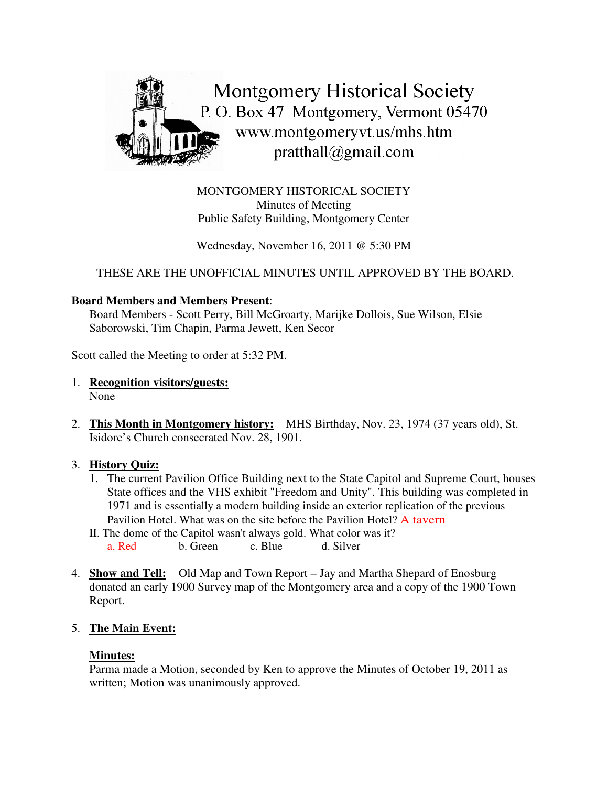

MONTGOMERY HISTORICAL SOCIETY Minutes of Meeting Public Safety Building, Montgomery Center

Wednesday, November 16, 2011 @ 5:30 PM

THESE ARE THE UNOFFICIAL MINUTES UNTIL APPROVED BY THE BOARD.

## **Board Members and Members Present**:

Board Members - Scott Perry, Bill McGroarty, Marijke Dollois, Sue Wilson, Elsie Saborowski, Tim Chapin, Parma Jewett, Ken Secor

Scott called the Meeting to order at 5:32 PM.

- 1. **Recognition visitors/guests:** None
- 2. **This Month in Montgomery history:** MHS Birthday, Nov. 23, 1974 (37 years old), St. Isidore's Church consecrated Nov. 28, 1901.

## 3. **History Quiz:**

- 1. The current Pavilion Office Building next to the State Capitol and Supreme Court, houses State offices and the VHS exhibit "Freedom and Unity". This building was completed in 1971 and is essentially a modern building inside an exterior replication of the previous Pavilion Hotel. What was on the site before the Pavilion Hotel? A tavern
- II. The dome of the Capitol wasn't always gold. What color was it? a. Red b. Green c. Blue d. Silver
- 4. **Show and Tell:** Old Map and Town Report Jay and Martha Shepard of Enosburg donated an early 1900 Survey map of the Montgomery area and a copy of the 1900 Town Report.

## 5. **The Main Event:**

## **Minutes:**

Parma made a Motion, seconded by Ken to approve the Minutes of October 19, 2011 as written; Motion was unanimously approved.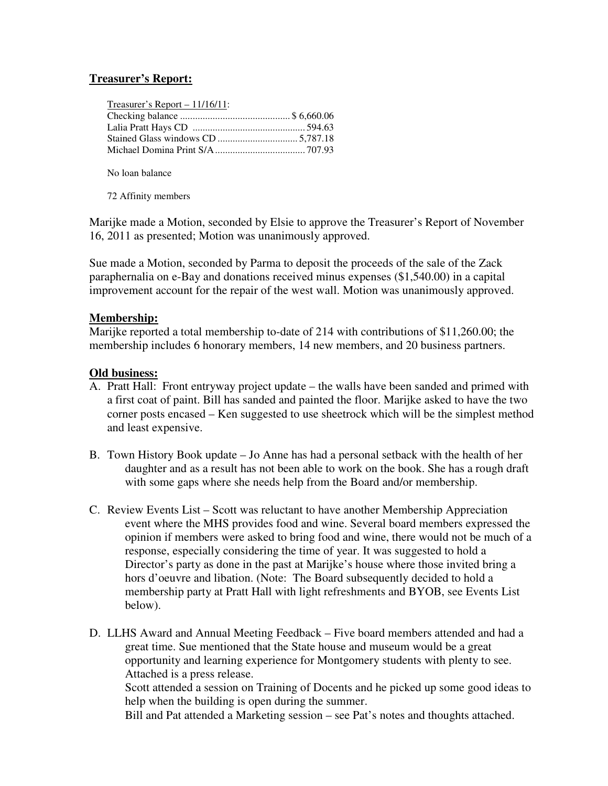## **Treasurer's Report:**

| Treasurer's Report $-11/16/11$ : |  |
|----------------------------------|--|
|                                  |  |
|                                  |  |
|                                  |  |
|                                  |  |

No loan balance

72 Affinity members

Marijke made a Motion, seconded by Elsie to approve the Treasurer's Report of November 16, 2011 as presented; Motion was unanimously approved.

Sue made a Motion, seconded by Parma to deposit the proceeds of the sale of the Zack paraphernalia on e-Bay and donations received minus expenses (\$1,540.00) in a capital improvement account for the repair of the west wall. Motion was unanimously approved.

### **Membership:**

Marijke reported a total membership to-date of 214 with contributions of \$11,260.00; the membership includes 6 honorary members, 14 new members, and 20 business partners.

### **Old business:**

- A. Pratt Hall: Front entryway project update the walls have been sanded and primed with a first coat of paint. Bill has sanded and painted the floor. Marijke asked to have the two corner posts encased – Ken suggested to use sheetrock which will be the simplest method and least expensive.
- B. Town History Book update Jo Anne has had a personal setback with the health of her daughter and as a result has not been able to work on the book. She has a rough draft with some gaps where she needs help from the Board and/or membership.
- C. Review Events List Scott was reluctant to have another Membership Appreciation event where the MHS provides food and wine. Several board members expressed the opinion if members were asked to bring food and wine, there would not be much of a response, especially considering the time of year. It was suggested to hold a Director's party as done in the past at Marijke's house where those invited bring a hors d'oeuvre and libation. (Note: The Board subsequently decided to hold a membership party at Pratt Hall with light refreshments and BYOB, see Events List below).
- D. LLHS Award and Annual Meeting Feedback Five board members attended and had a great time. Sue mentioned that the State house and museum would be a great opportunity and learning experience for Montgomery students with plenty to see. Attached is a press release. Scott attended a session on Training of Docents and he picked up some good ideas to help when the building is open during the summer.

Bill and Pat attended a Marketing session – see Pat's notes and thoughts attached.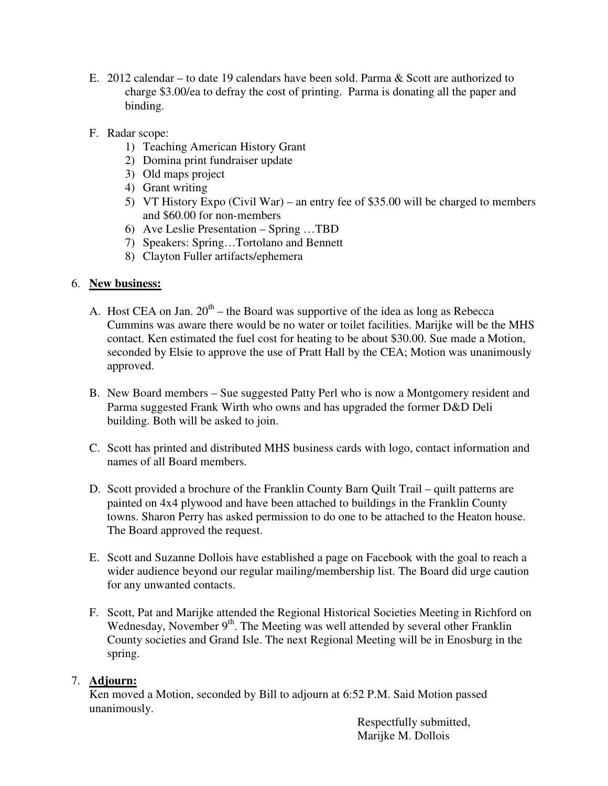- E. 2012 calendar to date 19 calendars have been sold. Parma & Scott are authorized to charge \$3.00/ea to defray the cost of printing. Parma is donating all the paper and binding.
- F. Radar scope:
	- 1) Teaching American History Grant
	- 2) Domina print fundraiser update
	- 3) Old maps project
	- 4) Grant writing
	- 5) VT History Expo (Civil War) an entry fee of \$35.00 will be charged to members and \$60.00 for non-members
	- 6) Ave Leslie Presentation Spring …TBD
	- 7) Speakers: Spring…Tortolano and Bennett
	- 8) Clayton Fuller artifacts/ephemera

## 6. **New business:**

- A. Host CEA on Jan.  $20^{th}$  the Board was supportive of the idea as long as Rebecca Cummins was aware there would be no water or toilet facilities. Marijke will be the MHS contact. Ken estimated the fuel cost for heating to be about \$30.00. Sue made a Motion, seconded by Elsie to approve the use of Pratt Hall by the CEA; Motion was unanimously approved.
- B. New Board members Sue suggested Patty Perl who is now a Montgomery resident and Parma suggested Frank Wirth who owns and has upgraded the former D&D Deli building. Both will be asked to join.
- C. Scott has printed and distributed MHS business cards with logo, contact information and names of all Board members.
- D. Scott provided a brochure of the Franklin County Barn Quilt Trail quilt patterns are painted on 4x4 plywood and have been attached to buildings in the Franklin County towns. Sharon Perry has asked permission to do one to be attached to the Heaton house. The Board approved the request.
- E. Scott and Suzanne Dollois have established a page on Facebook with the goal to reach a wider audience beyond our regular mailing/membership list. The Board did urge caution for any unwanted contacts.
- F. Scott, Pat and Marijke attended the Regional Historical Societies Meeting in Richford on Wednesday, November 9<sup>th</sup>. The Meeting was well attended by several other Franklin County societies and Grand Isle. The next Regional Meeting will be in Enosburg in the spring.

## 7. **Adjourn:**

Ken moved a Motion, seconded by Bill to adjourn at 6:52 P.M. Said Motion passed unanimously.

> Respectfully submitted, Marijke M. Dollois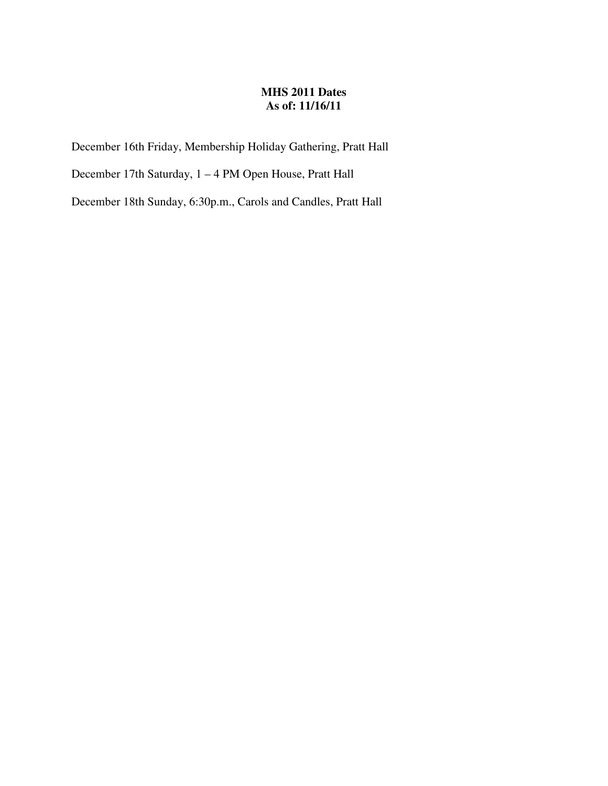## **MHS 2011 Dates As of: 11/16/11**

December 16th Friday, Membership Holiday Gathering, Pratt Hall

December 17th Saturday, 1 – 4 PM Open House, Pratt Hall

December 18th Sunday, 6:30p.m., Carols and Candles, Pratt Hall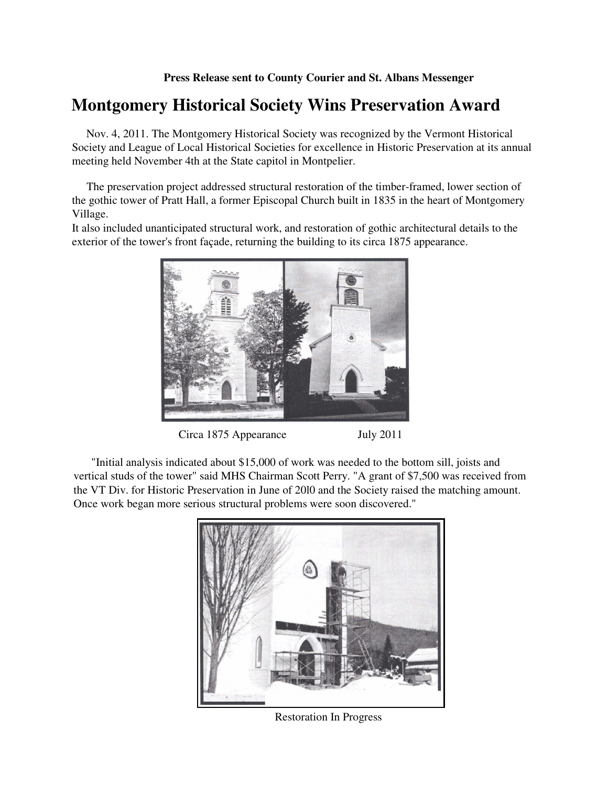# **Montgomery Historical Society Wins Preservation Award**

Nov. 4, 2011. The Montgomery Historical Society was recognized by the Vermont Historical Society and League of Local Historical Societies for excellence in Historic Preservation at its annual meeting held November 4th at the State capitol in Montpelier.

The preservation project addressed structural restoration of the timber-framed, lower section of the gothic tower of Pratt Hall, a former Episcopal Church built in 1835 in the heart of Montgomery Village.

It also included unanticipated structural work, and restoration of gothic architectural details to the exterior of the tower's front façade, returning the building to its circa 1875 appearance.



Circa 1875 Appearance July 2011

"Initial analysis indicated about \$15,000 of work was needed to the bottom sill, joists and vertical studs of the tower" said MHS Chairman Scott Perry. "A grant of \$7,500 was received from the VT Div. for Historic Preservation in June of 20l0 and the Society raised the matching amount. Once work began more serious structural problems were soon discovered."



Restoration In Progress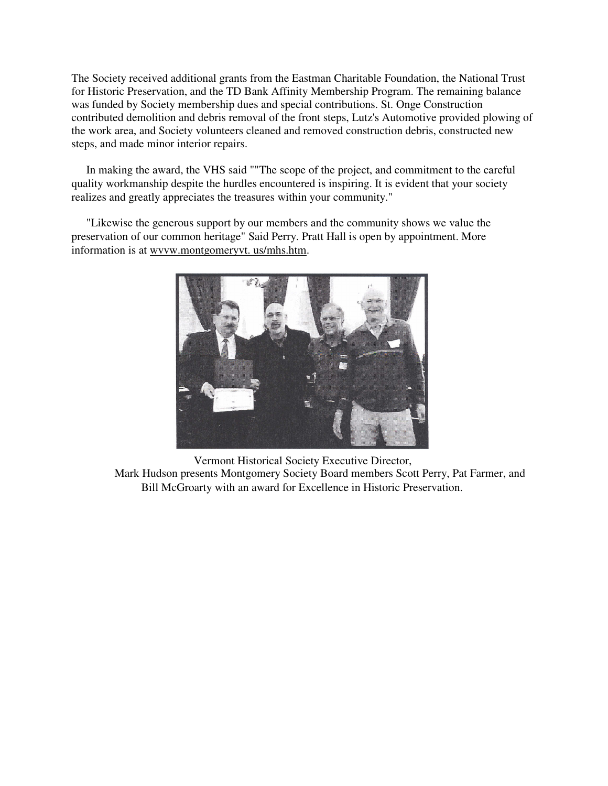The Society received additional grants from the Eastman Charitable Foundation, the National Trust for Historic Preservation, and the TD Bank Affinity Membership Program. The remaining balance was funded by Society membership dues and special contributions. St. Onge Construction contributed demolition and debris removal of the front steps, Lutz's Automotive provided plowing of the work area, and Society volunteers cleaned and removed construction debris, constructed new steps, and made minor interior repairs.

In making the award, the VHS said ""The scope of the project, and commitment to the careful quality workmanship despite the hurdles encountered is inspiring. It is evident that your society realizes and greatly appreciates the treasures within your community."

"Likewise the generous support by our members and the community shows we value the preservation of our common heritage" Said Perry. Pratt Hall is open by appointment. More information is at wvvw.montgomeryvt. us/mhs.htm.



Vermont Historical Society Executive Director, Mark Hudson presents Montgomery Society Board members Scott Perry, Pat Farmer, and Bill McGroarty with an award for Excellence in Historic Preservation.